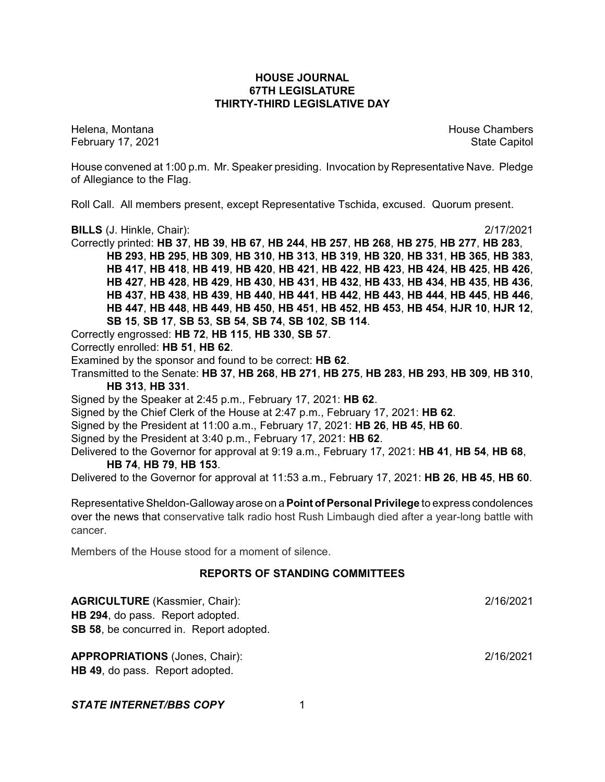### **HOUSE JOURNAL 67TH LEGISLATURE THIRTY-THIRD LEGISLATIVE DAY**

February 17, 2021 **State Capitol** 

Helena, Montana House Chambers Chambers Chambers and House Chambers Chambers Chambers Chambers Chambers Chambers

House convened at 1:00 p.m. Mr. Speaker presiding. Invocation by Representative Nave. Pledge of Allegiance to the Flag.

Roll Call. All members present, except Representative Tschida, excused. Quorum present.

**BILLS** (J. Hinkle, Chair): 2/17/2021

Correctly printed: **HB 37**, **HB 39**, **HB 67**, **HB 244**, **HB 257**, **HB 268**, **HB 275**, **HB 277**, **HB 283**, **HB 293**, **HB 295**, **HB 309**, **HB 310**, **HB 313**, **HB 319**, **HB 320**, **HB 331**, **HB 365**, **HB 383**, **HB 417**, **HB 418**, **HB 419**, **HB 420**, **HB 421**, **HB 422**, **HB 423**, **HB 424**, **HB 425**, **HB 426**, **HB 427**, **HB 428**, **HB 429**, **HB 430**, **HB 431**, **HB 432**, **HB 433**, **HB 434**, **HB 435**, **HB 436**, **HB 437**, **HB 438**, **HB 439**, **HB 440**, **HB 441**, **HB 442**, **HB 443**, **HB 444**, **HB 445**, **HB 446**, **HB 447**, **HB 448**, **HB 449**, **HB 450**, **HB 451**, **HB 452**, **HB 453**, **HB 454**, **HJR 10**, **HJR 12**, **SB 15**, **SB 17**, **SB 53**, **SB 54**, **SB 74**, **SB 102**, **SB 114**.

Correctly engrossed: **HB 72**, **HB 115**, **HB 330**, **SB 57**.

Correctly enrolled: **HB 51**, **HB 62**.

Examined by the sponsor and found to be correct: **HB 62**.

Transmitted to the Senate: **HB 37**, **HB 268**, **HB 271**, **HB 275**, **HB 283**, **HB 293**, **HB 309**, **HB 310**, **HB 313**, **HB 331**.

Signed by the Speaker at 2:45 p.m., February 17, 2021: **HB 62**.

Signed by the Chief Clerk of the House at 2:47 p.m., February 17, 2021: **HB 62**.

Signed by the President at 11:00 a.m., February 17, 2021: **HB 26**, **HB 45**, **HB 60**.

Signed by the President at 3:40 p.m., February 17, 2021: **HB 62**.

Delivered to the Governor for approval at 9:19 a.m., February 17, 2021: **HB 41**, **HB 54**, **HB 68**, **HB 74**, **HB 79**, **HB 153**.

Delivered to the Governor for approval at 11:53 a.m., February 17, 2021: **HB 26**, **HB 45**, **HB 60**.

Representative Sheldon-Galloway arose on a **Point ofPersonal Privilege** to express condolences over the news that conservative talk radio host Rush Limbaugh died after a year-long battle with cancer.

Members of the House stood for a moment of silence.

#### **REPORTS OF STANDING COMMITTEES**

**AGRICULTURE** (Kassmier, Chair): 2/16/2021 **HB 294**, do pass. Report adopted. **SB 58**, be concurred in. Report adopted. **APPROPRIATIONS** (Jones, Chair): 2/16/2021 **HB 49**, do pass. Report adopted. **STATE INTERNET/BBS COPY** 1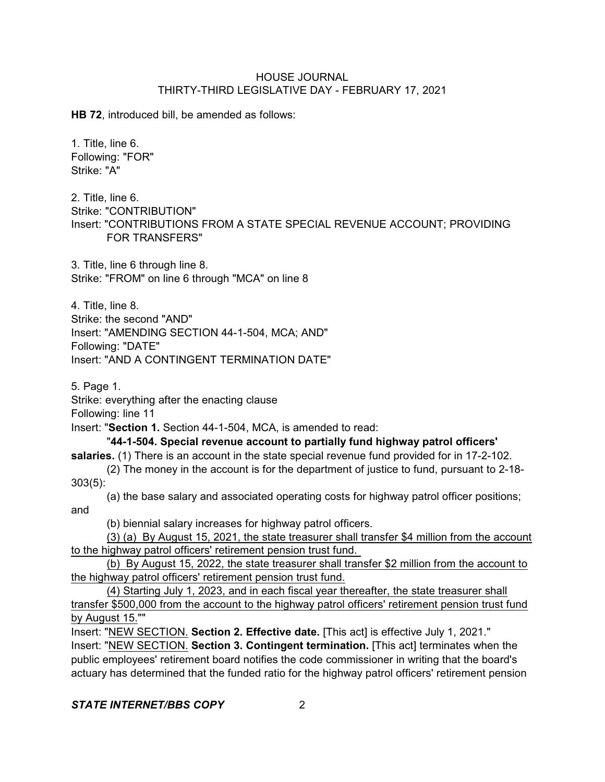**HB 72**, introduced bill, be amended as follows:

1. Title, line 6. Following: "FOR" Strike: "A"

2. Title, line 6. Strike: "CONTRIBUTION" Insert: "CONTRIBUTIONS FROM A STATE SPECIAL REVENUE ACCOUNT; PROVIDING FOR TRANSFERS"

3. Title, line 6 through line 8. Strike: "FROM" on line 6 through "MCA" on line 8

4. Title, line 8. Strike: the second "AND" Insert: "AMENDING SECTION 44-1-504, MCA; AND" Following: "DATE" Insert: "AND A CONTINGENT TERMINATION DATE"

5. Page 1.

Strike: everything after the enacting clause

Following: line 11

Insert: "**Section 1.** Section 44-1-504, MCA, is amended to read:

#### "**44-1-504. Special revenue account to partially fund highway patrol officers'**

salaries. (1) There is an account in the state special revenue fund provided for in 17-2-102. (2) The money in the account is for the department of justice to fund, pursuant to 2-18-

303(5):

(a) the base salary and associated operating costs for highway patrol officer positions; and

(b) biennial salary increases for highway patrol officers.

(3) (a) By August 15, 2021, the state treasurer shall transfer \$4 million from the account to the highway patrol officers' retirement pension trust fund.

(b) By August 15, 2022, the state treasurer shall transfer \$2 million from the account to the highway patrol officers' retirement pension trust fund.

(4) Starting July 1, 2023, and in each fiscal year thereafter, the state treasurer shall transfer \$500,000 from the account to the highway patrol officers' retirement pension trust fund by August 15.""

Insert: "NEW SECTION. **Section 2. Effective date.** [This act] is effective July 1, 2021." Insert: "NEW SECTION. **Section 3. Contingent termination.** [This act] terminates when the public employees' retirement board notifies the code commissioner in writing that the board's actuary has determined that the funded ratio for the highway patrol officers' retirement pension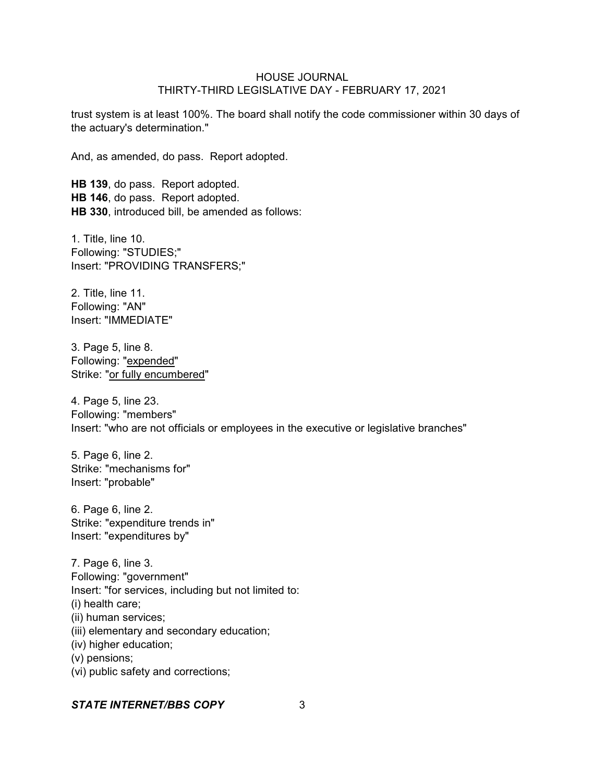trust system is at least 100%. The board shall notify the code commissioner within 30 days of the actuary's determination."

And, as amended, do pass. Report adopted.

**HB 139**, do pass. Report adopted. **HB 146**, do pass. Report adopted. **HB 330**, introduced bill, be amended as follows:

1. Title, line 10. Following: "STUDIES;" Insert: "PROVIDING TRANSFERS;"

2. Title, line 11. Following: "AN" Insert: "IMMEDIATE"

3. Page 5, line 8. Following: "expended" Strike: "or fully encumbered"

4. Page 5, line 23. Following: "members" Insert: "who are not officials or employees in the executive or legislative branches"

5. Page 6, line 2. Strike: "mechanisms for" Insert: "probable"

6. Page 6, line 2. Strike: "expenditure trends in" Insert: "expenditures by"

7. Page 6, line 3. Following: "government" Insert: "for services, including but not limited to: (i) health care; (ii) human services; (iii) elementary and secondary education; (iv) higher education; (v) pensions; (vi) public safety and corrections;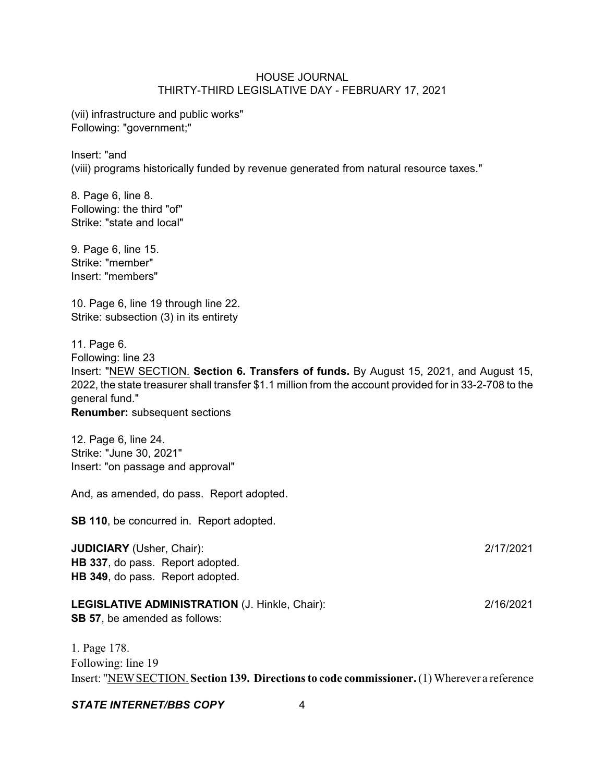(vii) infrastructure and public works" Following: "government;"

Insert: "and (viii) programs historically funded by revenue generated from natural resource taxes."

8. Page 6, line 8. Following: the third "of" Strike: "state and local"

9. Page 6, line 15. Strike: "member" Insert: "members"

10. Page 6, line 19 through line 22. Strike: subsection (3) in its entirety

11. Page 6. Following: line 23 Insert: "NEW SECTION. **Section 6. Transfers of funds.** By August 15, 2021, and August 15, 2022, the state treasurer shall transfer \$1.1 million from the account provided for in 33-2-708 to the general fund." **Renumber:** subsequent sections

12. Page 6, line 24. Strike: "June 30, 2021" Insert: "on passage and approval"

And, as amended, do pass. Report adopted.

**SB 110**, be concurred in. Report adopted.

**JUDICIARY** (Usher, Chair): 2/17/2021 **HB 337**, do pass. Report adopted. **HB 349**, do pass. Report adopted.

**LEGISLATIVE ADMINISTRATION** (J. Hinkle, Chair): 2/16/2021 **SB 57**, be amended as follows:

1. Page 178. Following: line 19 Insert: "NEWSECTION. **Section 139. Directions to code commissioner.**(1) Wherever a reference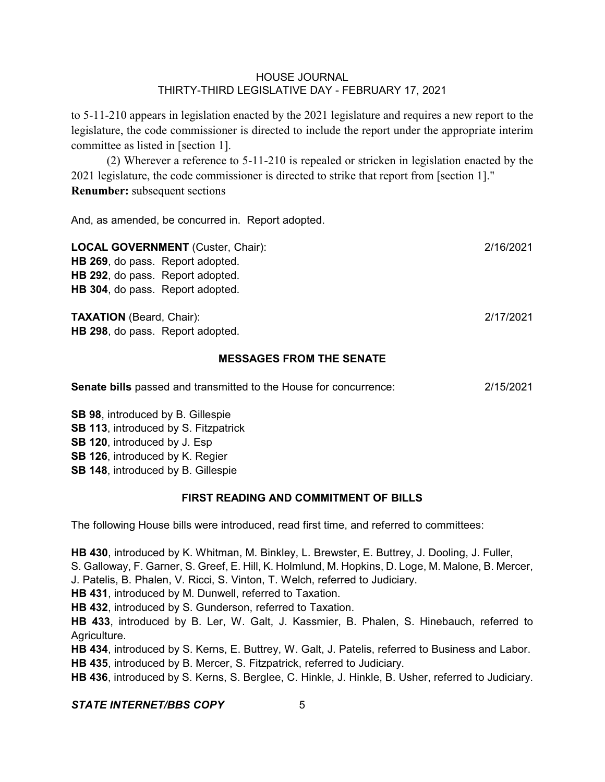to 5-11-210 appears in legislation enacted by the 2021 legislature and requires a new report to the legislature, the code commissioner is directed to include the report under the appropriate interim committee as listed in [section 1].

(2) Wherever a reference to 5-11-210 is repealed or stricken in legislation enacted by the 2021 legislature, the code commissioner is directed to strike that report from [section 1]." **Renumber:** subsequent sections

And, as amended, be concurred in. Report adopted.

| <b>LOCAL GOVERNMENT</b> (Custer, Chair): | 2/16/2021 |
|------------------------------------------|-----------|
| HB 269, do pass. Report adopted.         |           |
| HB 292, do pass. Report adopted.         |           |
| HB 304, do pass. Report adopted.         |           |
|                                          |           |
| <b>TAXATION</b> (Beard, Chair):          | 2/17/2021 |
| HB 298, do pass. Report adopted.         |           |

## **MESSAGES FROM THE SENATE**

| <b>Senate bills</b> passed and transmitted to the House for concurrence: | 2/15/2021 |
|--------------------------------------------------------------------------|-----------|
|                                                                          |           |

**SB 98**, introduced by B. Gillespie **SB 113**, introduced by S. Fitzpatrick **SB 120**, introduced by J. Esp **SB 126**, introduced by K. Regier **SB 148**, introduced by B. Gillespie

#### **FIRST READING AND COMMITMENT OF BILLS**

The following House bills were introduced, read first time, and referred to committees:

**HB 430**, introduced by K. Whitman, M. Binkley, L. Brewster, E. Buttrey, J. Dooling, J. Fuller, S. Galloway, F. Garner, S. Greef, E. Hill, K. Holmlund, M. Hopkins, D. Loge, M. Malone, B. Mercer, J. Patelis, B. Phalen, V. Ricci, S. Vinton, T. Welch, referred to Judiciary.

**HB 431**, introduced by M. Dunwell, referred to Taxation.

**HB 432**, introduced by S. Gunderson, referred to Taxation.

**HB 433**, introduced by B. Ler, W. Galt, J. Kassmier, B. Phalen, S. Hinebauch, referred to Agriculture.

**HB 434**, introduced by S. Kerns, E. Buttrey, W. Galt, J. Patelis, referred to Business and Labor. **HB 435**, introduced by B. Mercer, S. Fitzpatrick, referred to Judiciary.

**HB 436**, introduced by S. Kerns, S. Berglee, C. Hinkle, J. Hinkle, B. Usher, referred to Judiciary.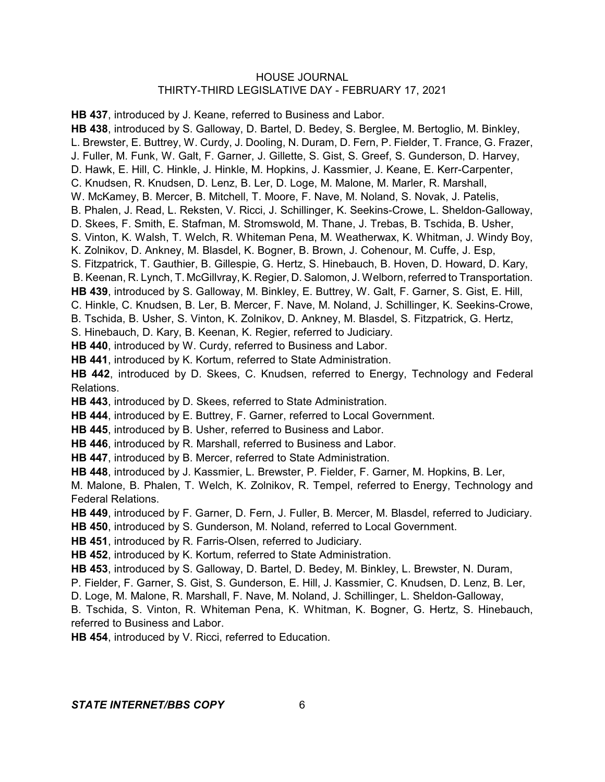**HB 437**, introduced by J. Keane, referred to Business and Labor. **HB 438**, introduced by S. Galloway, D. Bartel, D. Bedey, S. Berglee, M. Bertoglio, M. Binkley, L. Brewster, E. Buttrey, W. Curdy, J. Dooling, N. Duram, D. Fern, P. Fielder, T. France, G. Frazer, J. Fuller, M. Funk, W. Galt, F. Garner, J. Gillette, S. Gist, S. Greef, S. Gunderson, D. Harvey, D. Hawk, E. Hill, C. Hinkle, J. Hinkle, M. Hopkins, J. Kassmier, J. Keane, E. Kerr-Carpenter, C. Knudsen, R. Knudsen, D. Lenz, B. Ler, D. Loge, M. Malone, M. Marler, R. Marshall, W. McKamey, B. Mercer, B. Mitchell, T. Moore, F. Nave, M. Noland, S. Novak, J. Patelis, B. Phalen, J. Read, L. Reksten, V. Ricci, J. Schillinger, K. Seekins-Crowe, L. Sheldon-Galloway, D. Skees, F. Smith, E. Stafman, M. Stromswold, M. Thane, J. Trebas, B. Tschida, B. Usher, S. Vinton, K. Walsh, T. Welch, R. Whiteman Pena, M. Weatherwax, K. Whitman, J. Windy Boy, K. Zolnikov, D. Ankney, M. Blasdel, K. Bogner, B. Brown, J. Cohenour, M. Cuffe, J. Esp, S. Fitzpatrick, T. Gauthier, B. Gillespie, G. Hertz, S. Hinebauch, B. Hoven, D. Howard, D. Kary, B. Keenan, R. Lynch, T. McGillvray, K. Regier, D. Salomon, J. Welborn, referred to Transportation. **HB 439**, introduced by S. Galloway, M. Binkley, E. Buttrey, W. Galt, F. Garner, S. Gist, E. Hill, C. Hinkle, C. Knudsen, B. Ler, B. Mercer, F. Nave, M. Noland, J. Schillinger, K. Seekins-Crowe, B. Tschida, B. Usher, S. Vinton, K. Zolnikov, D. Ankney, M. Blasdel, S. Fitzpatrick, G. Hertz, S. Hinebauch, D. Kary, B. Keenan, K. Regier, referred to Judiciary. **HB 440**, introduced by W. Curdy, referred to Business and Labor. **HB 441**, introduced by K. Kortum, referred to State Administration. **HB 442**, introduced by D. Skees, C. Knudsen, referred to Energy, Technology and Federal Relations. **HB 443**, introduced by D. Skees, referred to State Administration. **HB 444**, introduced by E. Buttrey, F. Garner, referred to Local Government. **HB 445**, introduced by B. Usher, referred to Business and Labor. **HB 446**, introduced by R. Marshall, referred to Business and Labor. **HB 447**, introduced by B. Mercer, referred to State Administration. **HB 448**, introduced by J. Kassmier, L. Brewster, P. Fielder, F. Garner, M. Hopkins, B. Ler, M. Malone, B. Phalen, T. Welch, K. Zolnikov, R. Tempel, referred to Energy, Technology and Federal Relations. **HB 449**, introduced by F. Garner, D. Fern, J. Fuller, B. Mercer, M. Blasdel, referred to Judiciary. **HB 450**, introduced by S. Gunderson, M. Noland, referred to Local Government. **HB 451**, introduced by R. Farris-Olsen, referred to Judiciary. **HB 452**, introduced by K. Kortum, referred to State Administration. **HB 453**, introduced by S. Galloway, D. Bartel, D. Bedey, M. Binkley, L. Brewster, N. Duram, P. Fielder, F. Garner, S. Gist, S. Gunderson, E. Hill, J. Kassmier, C. Knudsen, D. Lenz, B. Ler, D. Loge, M. Malone, R. Marshall, F. Nave, M. Noland, J. Schillinger, L. Sheldon-Galloway, B. Tschida, S. Vinton, R. Whiteman Pena, K. Whitman, K. Bogner, G. Hertz, S. Hinebauch, referred to Business and Labor. **HB 454**, introduced by V. Ricci, referred to Education.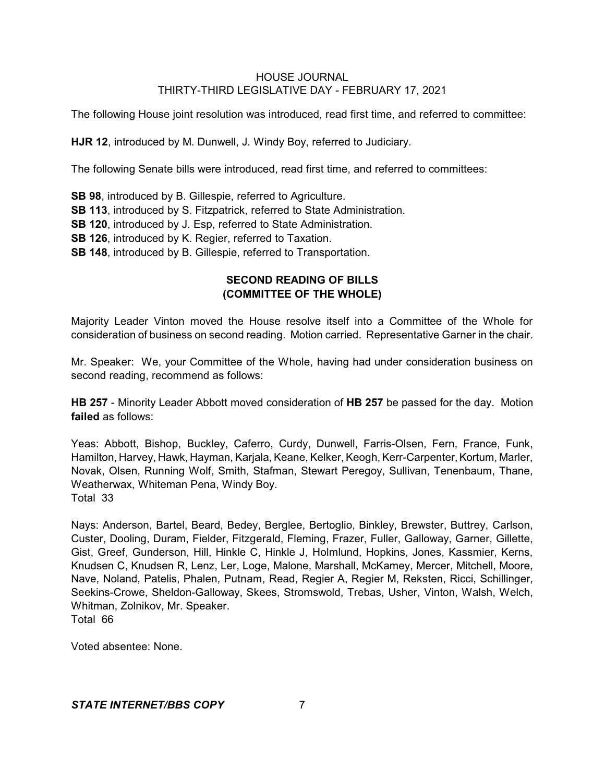The following House joint resolution was introduced, read first time, and referred to committee:

**HJR 12**, introduced by M. Dunwell, J. Windy Boy, referred to Judiciary.

The following Senate bills were introduced, read first time, and referred to committees:

**SB 98**, introduced by B. Gillespie, referred to Agriculture. **SB 113**, introduced by S. Fitzpatrick, referred to State Administration. **SB 120**, introduced by J. Esp, referred to State Administration. **SB 126**, introduced by K. Regier, referred to Taxation. **SB 148**, introduced by B. Gillespie, referred to Transportation.

# **SECOND READING OF BILLS (COMMITTEE OF THE WHOLE)**

Majority Leader Vinton moved the House resolve itself into a Committee of the Whole for consideration of business on second reading. Motion carried. Representative Garner in the chair.

Mr. Speaker: We, your Committee of the Whole, having had under consideration business on second reading, recommend as follows:

**HB 257** - Minority Leader Abbott moved consideration of **HB 257** be passed for the day. Motion **failed** as follows:

Yeas: Abbott, Bishop, Buckley, Caferro, Curdy, Dunwell, Farris-Olsen, Fern, France, Funk, Hamilton, Harvey, Hawk, Hayman, Karjala, Keane, Kelker, Keogh, Kerr-Carpenter, Kortum, Marler, Novak, Olsen, Running Wolf, Smith, Stafman, Stewart Peregoy, Sullivan, Tenenbaum, Thane, Weatherwax, Whiteman Pena, Windy Boy. Total 33

Nays: Anderson, Bartel, Beard, Bedey, Berglee, Bertoglio, Binkley, Brewster, Buttrey, Carlson, Custer, Dooling, Duram, Fielder, Fitzgerald, Fleming, Frazer, Fuller, Galloway, Garner, Gillette, Gist, Greef, Gunderson, Hill, Hinkle C, Hinkle J, Holmlund, Hopkins, Jones, Kassmier, Kerns, Knudsen C, Knudsen R, Lenz, Ler, Loge, Malone, Marshall, McKamey, Mercer, Mitchell, Moore, Nave, Noland, Patelis, Phalen, Putnam, Read, Regier A, Regier M, Reksten, Ricci, Schillinger, Seekins-Crowe, Sheldon-Galloway, Skees, Stromswold, Trebas, Usher, Vinton, Walsh, Welch, Whitman, Zolnikov, Mr. Speaker. Total 66

Voted absentee: None.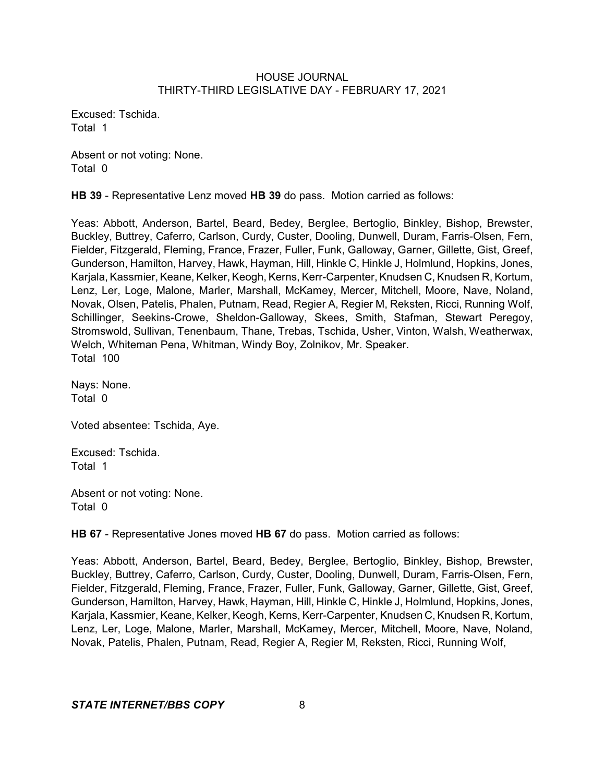Excused: Tschida. Total 1

Absent or not voting: None. Total 0

**HB 39** - Representative Lenz moved **HB 39** do pass. Motion carried as follows:

Yeas: Abbott, Anderson, Bartel, Beard, Bedey, Berglee, Bertoglio, Binkley, Bishop, Brewster, Buckley, Buttrey, Caferro, Carlson, Curdy, Custer, Dooling, Dunwell, Duram, Farris-Olsen, Fern, Fielder, Fitzgerald, Fleming, France, Frazer, Fuller, Funk, Galloway, Garner, Gillette, Gist, Greef, Gunderson, Hamilton, Harvey, Hawk, Hayman, Hill, Hinkle C, Hinkle J, Holmlund, Hopkins, Jones, Karjala, Kassmier, Keane, Kelker, Keogh, Kerns, Kerr-Carpenter, Knudsen C, Knudsen R, Kortum, Lenz, Ler, Loge, Malone, Marler, Marshall, McKamey, Mercer, Mitchell, Moore, Nave, Noland, Novak, Olsen, Patelis, Phalen, Putnam, Read, Regier A, Regier M, Reksten, Ricci, Running Wolf, Schillinger, Seekins-Crowe, Sheldon-Galloway, Skees, Smith, Stafman, Stewart Peregoy, Stromswold, Sullivan, Tenenbaum, Thane, Trebas, Tschida, Usher, Vinton, Walsh, Weatherwax, Welch, Whiteman Pena, Whitman, Windy Boy, Zolnikov, Mr. Speaker. Total 100

Nays: None. Total 0

Voted absentee: Tschida, Aye.

Excused: Tschida. Total 1

Absent or not voting: None. Total 0

**HB 67** - Representative Jones moved **HB 67** do pass. Motion carried as follows:

Yeas: Abbott, Anderson, Bartel, Beard, Bedey, Berglee, Bertoglio, Binkley, Bishop, Brewster, Buckley, Buttrey, Caferro, Carlson, Curdy, Custer, Dooling, Dunwell, Duram, Farris-Olsen, Fern, Fielder, Fitzgerald, Fleming, France, Frazer, Fuller, Funk, Galloway, Garner, Gillette, Gist, Greef, Gunderson, Hamilton, Harvey, Hawk, Hayman, Hill, Hinkle C, Hinkle J, Holmlund, Hopkins, Jones, Karjala, Kassmier, Keane, Kelker, Keogh, Kerns, Kerr-Carpenter, Knudsen C, Knudsen R, Kortum, Lenz, Ler, Loge, Malone, Marler, Marshall, McKamey, Mercer, Mitchell, Moore, Nave, Noland, Novak, Patelis, Phalen, Putnam, Read, Regier A, Regier M, Reksten, Ricci, Running Wolf,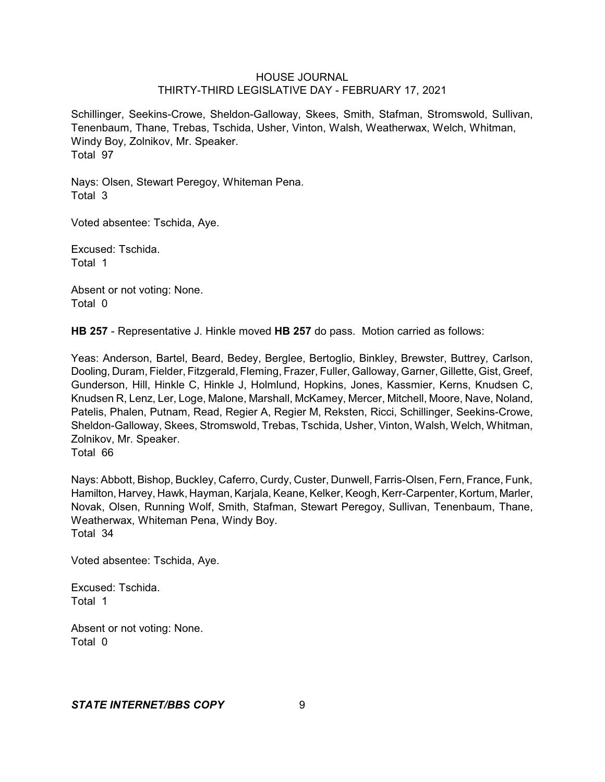Schillinger, Seekins-Crowe, Sheldon-Galloway, Skees, Smith, Stafman, Stromswold, Sullivan, Tenenbaum, Thane, Trebas, Tschida, Usher, Vinton, Walsh, Weatherwax, Welch, Whitman, Windy Boy, Zolnikov, Mr. Speaker. Total 97

Nays: Olsen, Stewart Peregoy, Whiteman Pena. Total 3

Voted absentee: Tschida, Aye.

Excused: Tschida. Total 1

Absent or not voting: None. Total 0

**HB 257** - Representative J. Hinkle moved **HB 257** do pass. Motion carried as follows:

Yeas: Anderson, Bartel, Beard, Bedey, Berglee, Bertoglio, Binkley, Brewster, Buttrey, Carlson, Dooling, Duram, Fielder, Fitzgerald, Fleming, Frazer, Fuller, Galloway, Garner, Gillette, Gist, Greef, Gunderson, Hill, Hinkle C, Hinkle J, Holmlund, Hopkins, Jones, Kassmier, Kerns, Knudsen C, Knudsen R, Lenz, Ler, Loge, Malone, Marshall, McKamey, Mercer, Mitchell, Moore, Nave, Noland, Patelis, Phalen, Putnam, Read, Regier A, Regier M, Reksten, Ricci, Schillinger, Seekins-Crowe, Sheldon-Galloway, Skees, Stromswold, Trebas, Tschida, Usher, Vinton, Walsh, Welch, Whitman, Zolnikov, Mr. Speaker.

Total 66

Nays: Abbott, Bishop, Buckley, Caferro, Curdy, Custer, Dunwell, Farris-Olsen, Fern, France, Funk, Hamilton, Harvey, Hawk, Hayman, Karjala, Keane, Kelker, Keogh, Kerr-Carpenter, Kortum, Marler, Novak, Olsen, Running Wolf, Smith, Stafman, Stewart Peregoy, Sullivan, Tenenbaum, Thane, Weatherwax, Whiteman Pena, Windy Boy. Total 34

Voted absentee: Tschida, Aye.

Excused: Tschida. Total 1

Absent or not voting: None. Total 0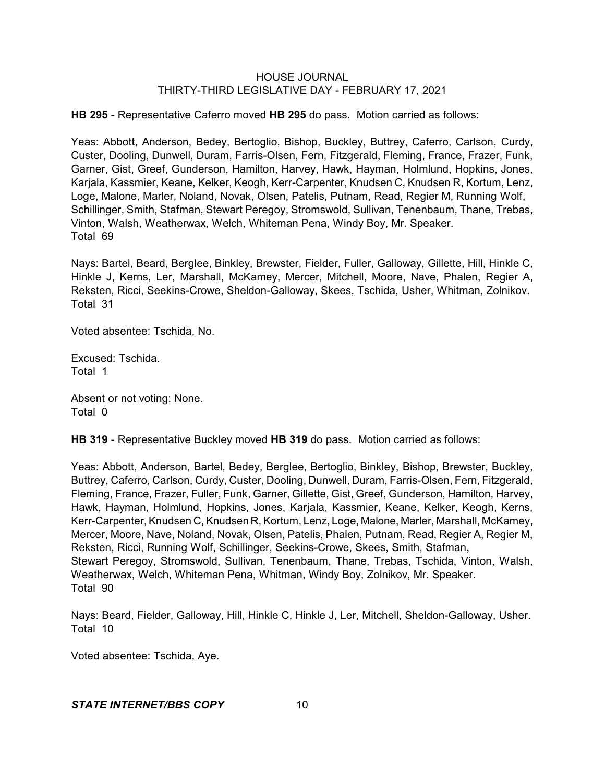**HB 295** - Representative Caferro moved **HB 295** do pass. Motion carried as follows:

Yeas: Abbott, Anderson, Bedey, Bertoglio, Bishop, Buckley, Buttrey, Caferro, Carlson, Curdy, Custer, Dooling, Dunwell, Duram, Farris-Olsen, Fern, Fitzgerald, Fleming, France, Frazer, Funk, Garner, Gist, Greef, Gunderson, Hamilton, Harvey, Hawk, Hayman, Holmlund, Hopkins, Jones, Karjala, Kassmier, Keane, Kelker, Keogh, Kerr-Carpenter, Knudsen C, Knudsen R, Kortum, Lenz, Loge, Malone, Marler, Noland, Novak, Olsen, Patelis, Putnam, Read, Regier M, Running Wolf, Schillinger, Smith, Stafman, Stewart Peregoy, Stromswold, Sullivan, Tenenbaum, Thane, Trebas, Vinton, Walsh, Weatherwax, Welch, Whiteman Pena, Windy Boy, Mr. Speaker. Total 69

Nays: Bartel, Beard, Berglee, Binkley, Brewster, Fielder, Fuller, Galloway, Gillette, Hill, Hinkle C, Hinkle J, Kerns, Ler, Marshall, McKamey, Mercer, Mitchell, Moore, Nave, Phalen, Regier A, Reksten, Ricci, Seekins-Crowe, Sheldon-Galloway, Skees, Tschida, Usher, Whitman, Zolnikov. Total 31

Voted absentee: Tschida, No.

Excused: Tschida. Total 1

Absent or not voting: None. Total 0

**HB 319** - Representative Buckley moved **HB 319** do pass. Motion carried as follows:

Yeas: Abbott, Anderson, Bartel, Bedey, Berglee, Bertoglio, Binkley, Bishop, Brewster, Buckley, Buttrey, Caferro, Carlson, Curdy, Custer, Dooling, Dunwell, Duram, Farris-Olsen, Fern, Fitzgerald, Fleming, France, Frazer, Fuller, Funk, Garner, Gillette, Gist, Greef, Gunderson, Hamilton, Harvey, Hawk, Hayman, Holmlund, Hopkins, Jones, Karjala, Kassmier, Keane, Kelker, Keogh, Kerns, Kerr-Carpenter, Knudsen C, Knudsen R, Kortum, Lenz, Loge, Malone, Marler, Marshall, McKamey, Mercer, Moore, Nave, Noland, Novak, Olsen, Patelis, Phalen, Putnam, Read, Regier A, Regier M, Reksten, Ricci, Running Wolf, Schillinger, Seekins-Crowe, Skees, Smith, Stafman, Stewart Peregoy, Stromswold, Sullivan, Tenenbaum, Thane, Trebas, Tschida, Vinton, Walsh, Weatherwax, Welch, Whiteman Pena, Whitman, Windy Boy, Zolnikov, Mr. Speaker. Total 90

Nays: Beard, Fielder, Galloway, Hill, Hinkle C, Hinkle J, Ler, Mitchell, Sheldon-Galloway, Usher. Total 10

Voted absentee: Tschida, Aye.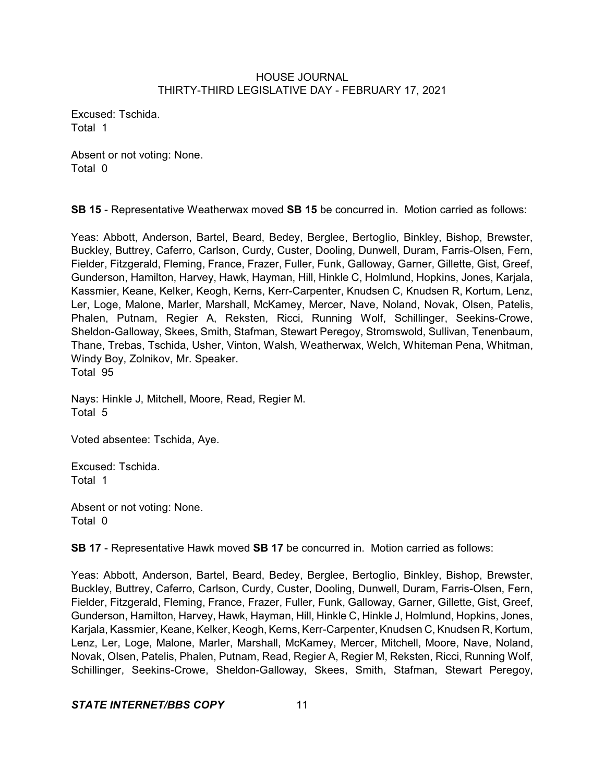Excused: Tschida. Total 1

Absent or not voting: None. Total 0

**SB 15** - Representative Weatherwax moved **SB 15** be concurred in. Motion carried as follows:

Yeas: Abbott, Anderson, Bartel, Beard, Bedey, Berglee, Bertoglio, Binkley, Bishop, Brewster, Buckley, Buttrey, Caferro, Carlson, Curdy, Custer, Dooling, Dunwell, Duram, Farris-Olsen, Fern, Fielder, Fitzgerald, Fleming, France, Frazer, Fuller, Funk, Galloway, Garner, Gillette, Gist, Greef, Gunderson, Hamilton, Harvey, Hawk, Hayman, Hill, Hinkle C, Holmlund, Hopkins, Jones, Karjala, Kassmier, Keane, Kelker, Keogh, Kerns, Kerr-Carpenter, Knudsen C, Knudsen R, Kortum, Lenz, Ler, Loge, Malone, Marler, Marshall, McKamey, Mercer, Nave, Noland, Novak, Olsen, Patelis, Phalen, Putnam, Regier A, Reksten, Ricci, Running Wolf, Schillinger, Seekins-Crowe, Sheldon-Galloway, Skees, Smith, Stafman, Stewart Peregoy, Stromswold, Sullivan, Tenenbaum, Thane, Trebas, Tschida, Usher, Vinton, Walsh, Weatherwax, Welch, Whiteman Pena, Whitman, Windy Boy, Zolnikov, Mr. Speaker. Total 95

Nays: Hinkle J, Mitchell, Moore, Read, Regier M. Total 5

Voted absentee: Tschida, Aye.

Excused: Tschida. Total 1

Absent or not voting: None. Total 0

**SB 17** - Representative Hawk moved **SB 17** be concurred in. Motion carried as follows:

Yeas: Abbott, Anderson, Bartel, Beard, Bedey, Berglee, Bertoglio, Binkley, Bishop, Brewster, Buckley, Buttrey, Caferro, Carlson, Curdy, Custer, Dooling, Dunwell, Duram, Farris-Olsen, Fern, Fielder, Fitzgerald, Fleming, France, Frazer, Fuller, Funk, Galloway, Garner, Gillette, Gist, Greef, Gunderson, Hamilton, Harvey, Hawk, Hayman, Hill, Hinkle C, Hinkle J, Holmlund, Hopkins, Jones, Karjala, Kassmier, Keane, Kelker, Keogh, Kerns, Kerr-Carpenter, Knudsen C, Knudsen R, Kortum, Lenz, Ler, Loge, Malone, Marler, Marshall, McKamey, Mercer, Mitchell, Moore, Nave, Noland, Novak, Olsen, Patelis, Phalen, Putnam, Read, Regier A, Regier M, Reksten, Ricci, Running Wolf, Schillinger, Seekins-Crowe, Sheldon-Galloway, Skees, Smith, Stafman, Stewart Peregoy,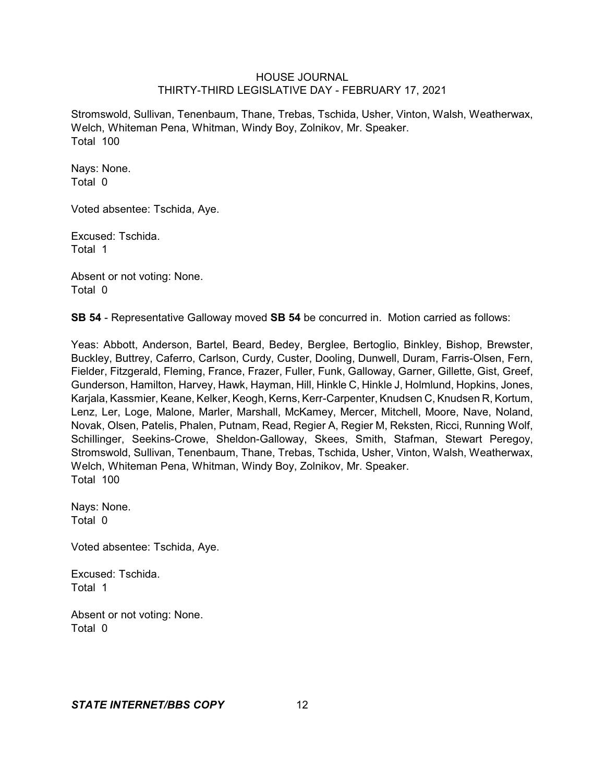Stromswold, Sullivan, Tenenbaum, Thane, Trebas, Tschida, Usher, Vinton, Walsh, Weatherwax, Welch, Whiteman Pena, Whitman, Windy Boy, Zolnikov, Mr. Speaker. Total 100

Nays: None. Total 0

Voted absentee: Tschida, Aye.

Excused: Tschida. Total 1

Absent or not voting: None. Total 0

**SB 54** - Representative Galloway moved **SB 54** be concurred in. Motion carried as follows:

Yeas: Abbott, Anderson, Bartel, Beard, Bedey, Berglee, Bertoglio, Binkley, Bishop, Brewster, Buckley, Buttrey, Caferro, Carlson, Curdy, Custer, Dooling, Dunwell, Duram, Farris-Olsen, Fern, Fielder, Fitzgerald, Fleming, France, Frazer, Fuller, Funk, Galloway, Garner, Gillette, Gist, Greef, Gunderson, Hamilton, Harvey, Hawk, Hayman, Hill, Hinkle C, Hinkle J, Holmlund, Hopkins, Jones, Karjala, Kassmier, Keane, Kelker, Keogh, Kerns, Kerr-Carpenter, Knudsen C, Knudsen R, Kortum, Lenz, Ler, Loge, Malone, Marler, Marshall, McKamey, Mercer, Mitchell, Moore, Nave, Noland, Novak, Olsen, Patelis, Phalen, Putnam, Read, Regier A, Regier M, Reksten, Ricci, Running Wolf, Schillinger, Seekins-Crowe, Sheldon-Galloway, Skees, Smith, Stafman, Stewart Peregoy, Stromswold, Sullivan, Tenenbaum, Thane, Trebas, Tschida, Usher, Vinton, Walsh, Weatherwax, Welch, Whiteman Pena, Whitman, Windy Boy, Zolnikov, Mr. Speaker. Total 100

Nays: None. Total 0

Voted absentee: Tschida, Aye.

Excused: Tschida. Total 1

Absent or not voting: None. Total 0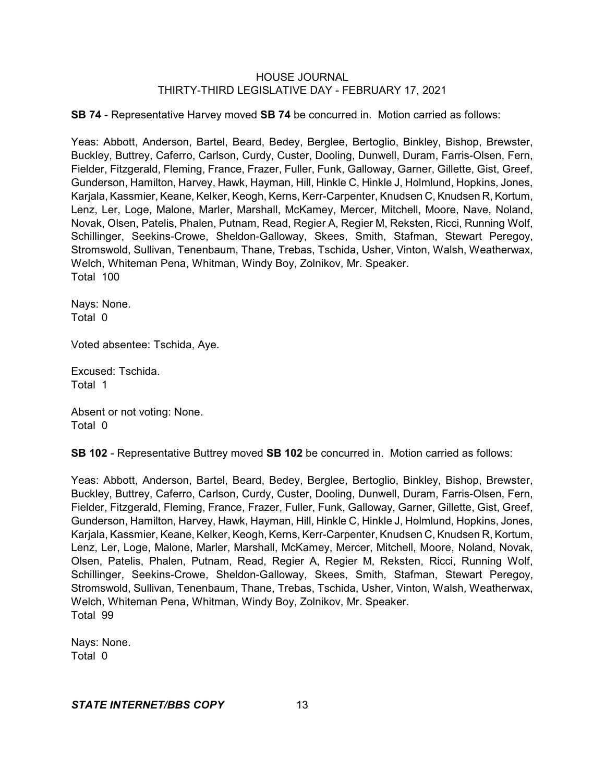**SB 74** - Representative Harvey moved **SB 74** be concurred in. Motion carried as follows:

Yeas: Abbott, Anderson, Bartel, Beard, Bedey, Berglee, Bertoglio, Binkley, Bishop, Brewster, Buckley, Buttrey, Caferro, Carlson, Curdy, Custer, Dooling, Dunwell, Duram, Farris-Olsen, Fern, Fielder, Fitzgerald, Fleming, France, Frazer, Fuller, Funk, Galloway, Garner, Gillette, Gist, Greef, Gunderson, Hamilton, Harvey, Hawk, Hayman, Hill, Hinkle C, Hinkle J, Holmlund, Hopkins, Jones, Karjala, Kassmier, Keane, Kelker, Keogh, Kerns, Kerr-Carpenter, Knudsen C, Knudsen R, Kortum, Lenz, Ler, Loge, Malone, Marler, Marshall, McKamey, Mercer, Mitchell, Moore, Nave, Noland, Novak, Olsen, Patelis, Phalen, Putnam, Read, Regier A, Regier M, Reksten, Ricci, Running Wolf, Schillinger, Seekins-Crowe, Sheldon-Galloway, Skees, Smith, Stafman, Stewart Peregoy, Stromswold, Sullivan, Tenenbaum, Thane, Trebas, Tschida, Usher, Vinton, Walsh, Weatherwax, Welch, Whiteman Pena, Whitman, Windy Boy, Zolnikov, Mr. Speaker. Total 100

Nays: None. Total 0

Voted absentee: Tschida, Aye.

Excused: Tschida. Total 1

Absent or not voting: None. Total 0

**SB 102** - Representative Buttrey moved **SB 102** be concurred in. Motion carried as follows:

Yeas: Abbott, Anderson, Bartel, Beard, Bedey, Berglee, Bertoglio, Binkley, Bishop, Brewster, Buckley, Buttrey, Caferro, Carlson, Curdy, Custer, Dooling, Dunwell, Duram, Farris-Olsen, Fern, Fielder, Fitzgerald, Fleming, France, Frazer, Fuller, Funk, Galloway, Garner, Gillette, Gist, Greef, Gunderson, Hamilton, Harvey, Hawk, Hayman, Hill, Hinkle C, Hinkle J, Holmlund, Hopkins, Jones, Karjala, Kassmier, Keane, Kelker, Keogh,Kerns, Kerr-Carpenter, Knudsen C, Knudsen R, Kortum, Lenz, Ler, Loge, Malone, Marler, Marshall, McKamey, Mercer, Mitchell, Moore, Noland, Novak, Olsen, Patelis, Phalen, Putnam, Read, Regier A, Regier M, Reksten, Ricci, Running Wolf, Schillinger, Seekins-Crowe, Sheldon-Galloway, Skees, Smith, Stafman, Stewart Peregoy, Stromswold, Sullivan, Tenenbaum, Thane, Trebas, Tschida, Usher, Vinton, Walsh, Weatherwax, Welch, Whiteman Pena, Whitman, Windy Boy, Zolnikov, Mr. Speaker. Total 99

Nays: None. Total 0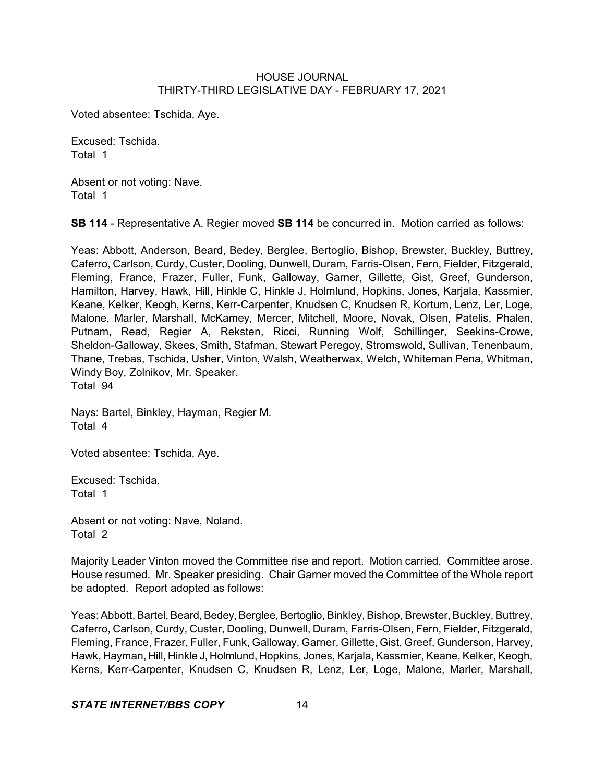Voted absentee: Tschida, Aye.

Excused: Tschida. Total 1

Absent or not voting: Nave. Total 1

**SB 114** - Representative A. Regier moved **SB 114** be concurred in. Motion carried as follows:

Yeas: Abbott, Anderson, Beard, Bedey, Berglee, Bertoglio, Bishop, Brewster, Buckley, Buttrey, Caferro, Carlson, Curdy, Custer, Dooling, Dunwell, Duram, Farris-Olsen, Fern, Fielder, Fitzgerald, Fleming, France, Frazer, Fuller, Funk, Galloway, Garner, Gillette, Gist, Greef, Gunderson, Hamilton, Harvey, Hawk, Hill, Hinkle C, Hinkle J, Holmlund, Hopkins, Jones, Karjala, Kassmier, Keane, Kelker, Keogh, Kerns, Kerr-Carpenter, Knudsen C, Knudsen R, Kortum, Lenz, Ler, Loge, Malone, Marler, Marshall, McKamey, Mercer, Mitchell, Moore, Novak, Olsen, Patelis, Phalen, Putnam, Read, Regier A, Reksten, Ricci, Running Wolf, Schillinger, Seekins-Crowe, Sheldon-Galloway, Skees, Smith, Stafman, Stewart Peregoy, Stromswold, Sullivan, Tenenbaum, Thane, Trebas, Tschida, Usher, Vinton, Walsh, Weatherwax, Welch, Whiteman Pena, Whitman, Windy Boy, Zolnikov, Mr. Speaker. Total 94

Nays: Bartel, Binkley, Hayman, Regier M. Total 4

Voted absentee: Tschida, Aye.

Excused: Tschida. Total 1

Absent or not voting: Nave, Noland. Total 2

Majority Leader Vinton moved the Committee rise and report. Motion carried. Committee arose. House resumed. Mr. Speaker presiding. Chair Garner moved the Committee of the Whole report be adopted. Report adopted as follows:

Yeas: Abbott, Bartel, Beard, Bedey, Berglee, Bertoglio, Binkley, Bishop, Brewster, Buckley, Buttrey, Caferro, Carlson, Curdy, Custer, Dooling, Dunwell, Duram, Farris-Olsen, Fern, Fielder, Fitzgerald, Fleming, France, Frazer, Fuller, Funk, Galloway, Garner, Gillette, Gist, Greef, Gunderson, Harvey, Hawk, Hayman, Hill, Hinkle J, Holmlund, Hopkins, Jones, Karjala, Kassmier, Keane, Kelker, Keogh, Kerns, Kerr-Carpenter, Knudsen C, Knudsen R, Lenz, Ler, Loge, Malone, Marler, Marshall,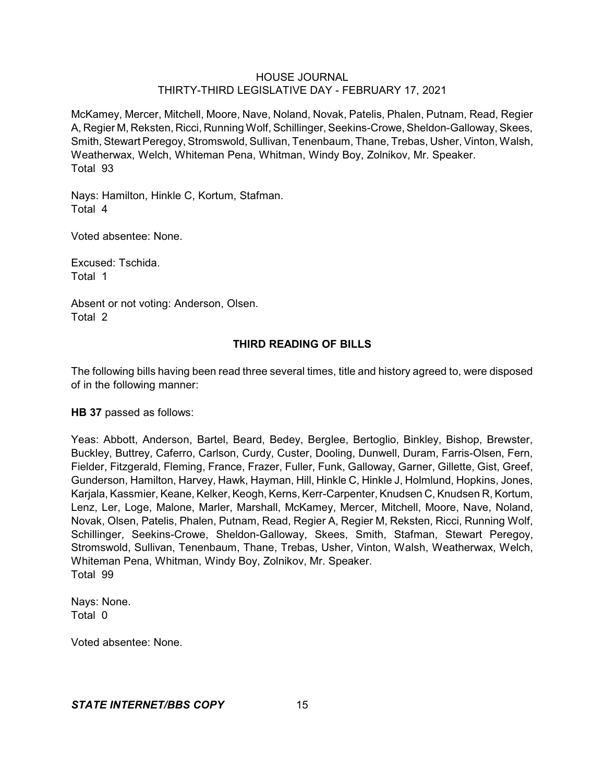McKamey, Mercer, Mitchell, Moore, Nave, Noland, Novak, Patelis, Phalen, Putnam, Read, Regier A, Regier M, Reksten, Ricci, Running Wolf, Schillinger, Seekins-Crowe,Sheldon-Galloway, Skees, Smith, Stewart Peregoy, Stromswold, Sullivan, Tenenbaum, Thane, Trebas, Usher, Vinton, Walsh, Weatherwax, Welch, Whiteman Pena, Whitman, Windy Boy, Zolnikov, Mr. Speaker. Total 93

Nays: Hamilton, Hinkle C, Kortum, Stafman. Total 4

Voted absentee: None.

Excused: Tschida. Total 1

Absent or not voting: Anderson, Olsen. Total 2

## **THIRD READING OF BILLS**

The following bills having been read three several times, title and history agreed to, were disposed of in the following manner:

**HB 37** passed as follows:

Yeas: Abbott, Anderson, Bartel, Beard, Bedey, Berglee, Bertoglio, Binkley, Bishop, Brewster, Buckley, Buttrey, Caferro, Carlson, Curdy, Custer, Dooling, Dunwell, Duram, Farris-Olsen, Fern, Fielder, Fitzgerald, Fleming, France, Frazer, Fuller, Funk, Galloway, Garner, Gillette, Gist, Greef, Gunderson, Hamilton, Harvey, Hawk, Hayman, Hill, Hinkle C, Hinkle J, Holmlund, Hopkins, Jones, Karjala, Kassmier, Keane, Kelker, Keogh, Kerns, Kerr-Carpenter, Knudsen C, Knudsen R, Kortum, Lenz, Ler, Loge, Malone, Marler, Marshall, McKamey, Mercer, Mitchell, Moore, Nave, Noland, Novak, Olsen, Patelis, Phalen, Putnam, Read, Regier A, Regier M, Reksten, Ricci, Running Wolf, Schillinger, Seekins-Crowe, Sheldon-Galloway, Skees, Smith, Stafman, Stewart Peregoy, Stromswold, Sullivan, Tenenbaum, Thane, Trebas, Usher, Vinton, Walsh, Weatherwax, Welch, Whiteman Pena, Whitman, Windy Boy, Zolnikov, Mr. Speaker. Total 99

Nays: None. Total 0

Voted absentee: None.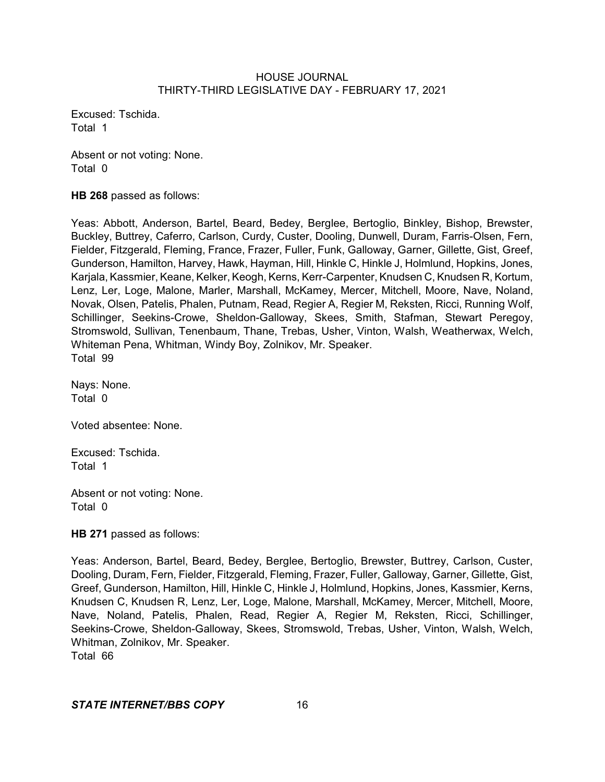Excused: Tschida. Total 1

Absent or not voting: None. Total 0

**HB 268** passed as follows:

Yeas: Abbott, Anderson, Bartel, Beard, Bedey, Berglee, Bertoglio, Binkley, Bishop, Brewster, Buckley, Buttrey, Caferro, Carlson, Curdy, Custer, Dooling, Dunwell, Duram, Farris-Olsen, Fern, Fielder, Fitzgerald, Fleming, France, Frazer, Fuller, Funk, Galloway, Garner, Gillette, Gist, Greef, Gunderson, Hamilton, Harvey, Hawk, Hayman, Hill, Hinkle C, Hinkle J, Holmlund, Hopkins, Jones, Karjala, Kassmier, Keane, Kelker, Keogh, Kerns, Kerr-Carpenter, Knudsen C, Knudsen R, Kortum, Lenz, Ler, Loge, Malone, Marler, Marshall, McKamey, Mercer, Mitchell, Moore, Nave, Noland, Novak, Olsen, Patelis, Phalen, Putnam, Read, Regier A, Regier M, Reksten, Ricci, Running Wolf, Schillinger, Seekins-Crowe, Sheldon-Galloway, Skees, Smith, Stafman, Stewart Peregoy, Stromswold, Sullivan, Tenenbaum, Thane, Trebas, Usher, Vinton, Walsh, Weatherwax, Welch, Whiteman Pena, Whitman, Windy Boy, Zolnikov, Mr. Speaker. Total 99

Nays: None. Total 0

Voted absentee: None.

Excused: Tschida. Total 1

Absent or not voting: None. Total 0

**HB 271** passed as follows:

Yeas: Anderson, Bartel, Beard, Bedey, Berglee, Bertoglio, Brewster, Buttrey, Carlson, Custer, Dooling, Duram, Fern, Fielder, Fitzgerald, Fleming, Frazer, Fuller, Galloway, Garner, Gillette, Gist, Greef, Gunderson, Hamilton, Hill, Hinkle C, Hinkle J, Holmlund, Hopkins, Jones, Kassmier, Kerns, Knudsen C, Knudsen R, Lenz, Ler, Loge, Malone, Marshall, McKamey, Mercer, Mitchell, Moore, Nave, Noland, Patelis, Phalen, Read, Regier A, Regier M, Reksten, Ricci, Schillinger, Seekins-Crowe, Sheldon-Galloway, Skees, Stromswold, Trebas, Usher, Vinton, Walsh, Welch, Whitman, Zolnikov, Mr. Speaker.

Total 66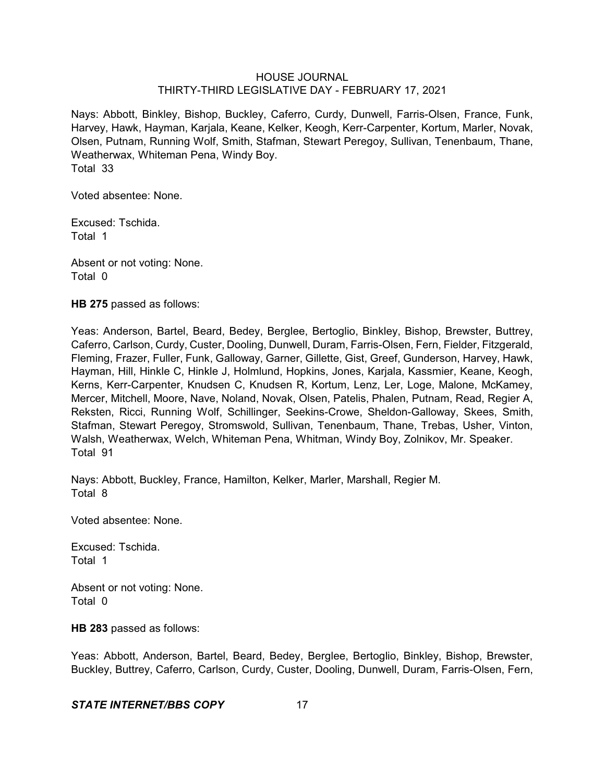Nays: Abbott, Binkley, Bishop, Buckley, Caferro, Curdy, Dunwell, Farris-Olsen, France, Funk, Harvey, Hawk, Hayman, Karjala, Keane, Kelker, Keogh, Kerr-Carpenter, Kortum, Marler, Novak, Olsen, Putnam, Running Wolf, Smith, Stafman, Stewart Peregoy, Sullivan, Tenenbaum, Thane, Weatherwax, Whiteman Pena, Windy Boy. Total 33

Voted absentee: None.

Excused: Tschida. Total 1

Absent or not voting: None. Total 0

**HB 275** passed as follows:

Yeas: Anderson, Bartel, Beard, Bedey, Berglee, Bertoglio, Binkley, Bishop, Brewster, Buttrey, Caferro, Carlson, Curdy, Custer, Dooling, Dunwell, Duram, Farris-Olsen, Fern, Fielder, Fitzgerald, Fleming, Frazer, Fuller, Funk, Galloway, Garner, Gillette, Gist, Greef, Gunderson, Harvey, Hawk, Hayman, Hill, Hinkle C, Hinkle J, Holmlund, Hopkins, Jones, Karjala, Kassmier, Keane, Keogh, Kerns, Kerr-Carpenter, Knudsen C, Knudsen R, Kortum, Lenz, Ler, Loge, Malone, McKamey, Mercer, Mitchell, Moore, Nave, Noland, Novak, Olsen, Patelis, Phalen, Putnam, Read, Regier A, Reksten, Ricci, Running Wolf, Schillinger, Seekins-Crowe, Sheldon-Galloway, Skees, Smith, Stafman, Stewart Peregoy, Stromswold, Sullivan, Tenenbaum, Thane, Trebas, Usher, Vinton, Walsh, Weatherwax, Welch, Whiteman Pena, Whitman, Windy Boy, Zolnikov, Mr. Speaker. Total 91

Nays: Abbott, Buckley, France, Hamilton, Kelker, Marler, Marshall, Regier M. Total 8

Voted absentee: None.

Excused: Tschida. Total 1

Absent or not voting: None. Total 0

**HB 283** passed as follows:

Yeas: Abbott, Anderson, Bartel, Beard, Bedey, Berglee, Bertoglio, Binkley, Bishop, Brewster, Buckley, Buttrey, Caferro, Carlson, Curdy, Custer, Dooling, Dunwell, Duram, Farris-Olsen, Fern,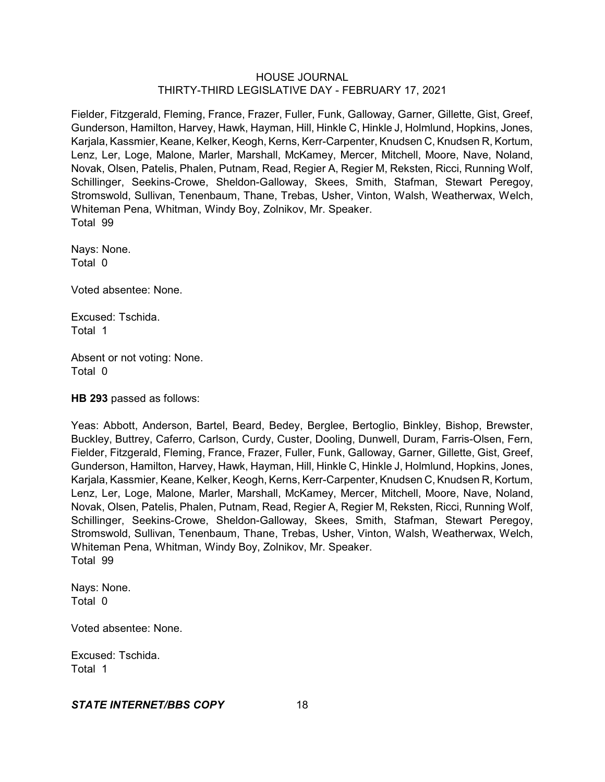Fielder, Fitzgerald, Fleming, France, Frazer, Fuller, Funk, Galloway, Garner, Gillette, Gist, Greef, Gunderson, Hamilton, Harvey, Hawk, Hayman, Hill, Hinkle C, Hinkle J, Holmlund, Hopkins, Jones, Karjala, Kassmier, Keane, Kelker, Keogh, Kerns, Kerr-Carpenter, Knudsen C, Knudsen R, Kortum, Lenz, Ler, Loge, Malone, Marler, Marshall, McKamey, Mercer, Mitchell, Moore, Nave, Noland, Novak, Olsen, Patelis, Phalen, Putnam, Read, Regier A, Regier M, Reksten, Ricci, Running Wolf, Schillinger, Seekins-Crowe, Sheldon-Galloway, Skees, Smith, Stafman, Stewart Peregoy, Stromswold, Sullivan, Tenenbaum, Thane, Trebas, Usher, Vinton, Walsh, Weatherwax, Welch, Whiteman Pena, Whitman, Windy Boy, Zolnikov, Mr. Speaker. Total 99

Nays: None. Total 0

Voted absentee: None.

Excused: Tschida. Total 1

Absent or not voting: None. Total 0

**HB 293** passed as follows:

Yeas: Abbott, Anderson, Bartel, Beard, Bedey, Berglee, Bertoglio, Binkley, Bishop, Brewster, Buckley, Buttrey, Caferro, Carlson, Curdy, Custer, Dooling, Dunwell, Duram, Farris-Olsen, Fern, Fielder, Fitzgerald, Fleming, France, Frazer, Fuller, Funk, Galloway, Garner, Gillette, Gist, Greef, Gunderson, Hamilton, Harvey, Hawk, Hayman, Hill, Hinkle C, Hinkle J, Holmlund, Hopkins, Jones, Karjala, Kassmier, Keane, Kelker, Keogh, Kerns, Kerr-Carpenter, Knudsen C, Knudsen R, Kortum, Lenz, Ler, Loge, Malone, Marler, Marshall, McKamey, Mercer, Mitchell, Moore, Nave, Noland, Novak, Olsen, Patelis, Phalen, Putnam, Read, Regier A, Regier M, Reksten, Ricci, Running Wolf, Schillinger, Seekins-Crowe, Sheldon-Galloway, Skees, Smith, Stafman, Stewart Peregoy, Stromswold, Sullivan, Tenenbaum, Thane, Trebas, Usher, Vinton, Walsh, Weatherwax, Welch, Whiteman Pena, Whitman, Windy Boy, Zolnikov, Mr. Speaker. Total 99

Nays: None. Total 0

Voted absentee: None.

Excused: Tschida. Total 1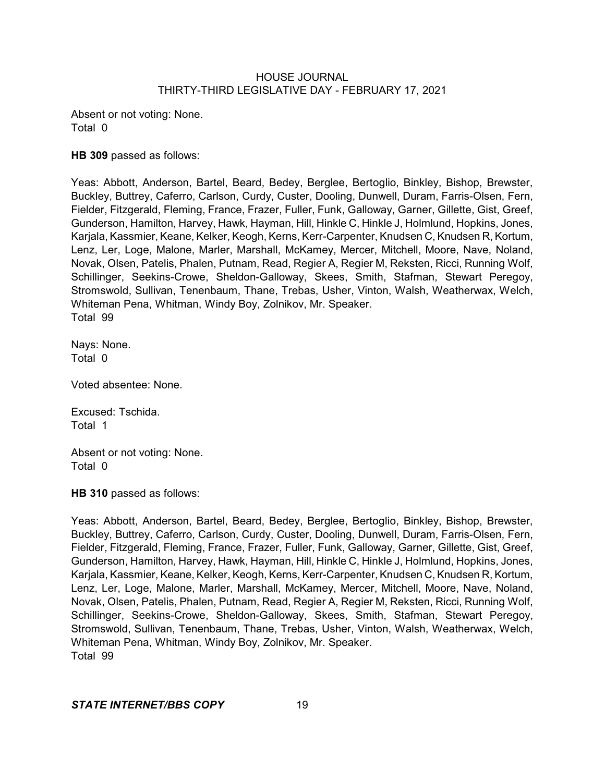Absent or not voting: None. Total 0

### **HB 309** passed as follows:

Yeas: Abbott, Anderson, Bartel, Beard, Bedey, Berglee, Bertoglio, Binkley, Bishop, Brewster, Buckley, Buttrey, Caferro, Carlson, Curdy, Custer, Dooling, Dunwell, Duram, Farris-Olsen, Fern, Fielder, Fitzgerald, Fleming, France, Frazer, Fuller, Funk, Galloway, Garner, Gillette, Gist, Greef, Gunderson, Hamilton, Harvey, Hawk, Hayman, Hill, Hinkle C, Hinkle J, Holmlund, Hopkins, Jones, Karjala, Kassmier, Keane, Kelker, Keogh, Kerns, Kerr-Carpenter, Knudsen C, Knudsen R, Kortum, Lenz, Ler, Loge, Malone, Marler, Marshall, McKamey, Mercer, Mitchell, Moore, Nave, Noland, Novak, Olsen, Patelis, Phalen, Putnam, Read, Regier A, Regier M, Reksten, Ricci, Running Wolf, Schillinger, Seekins-Crowe, Sheldon-Galloway, Skees, Smith, Stafman, Stewart Peregoy, Stromswold, Sullivan, Tenenbaum, Thane, Trebas, Usher, Vinton, Walsh, Weatherwax, Welch, Whiteman Pena, Whitman, Windy Boy, Zolnikov, Mr. Speaker. Total 99

Nays: None. Total 0

Voted absentee: None.

Excused: Tschida. Total 1

Absent or not voting: None. Total 0

**HB 310** passed as follows:

Yeas: Abbott, Anderson, Bartel, Beard, Bedey, Berglee, Bertoglio, Binkley, Bishop, Brewster, Buckley, Buttrey, Caferro, Carlson, Curdy, Custer, Dooling, Dunwell, Duram, Farris-Olsen, Fern, Fielder, Fitzgerald, Fleming, France, Frazer, Fuller, Funk, Galloway, Garner, Gillette, Gist, Greef, Gunderson, Hamilton, Harvey, Hawk, Hayman, Hill, Hinkle C, Hinkle J, Holmlund, Hopkins, Jones, Karjala, Kassmier, Keane, Kelker, Keogh, Kerns, Kerr-Carpenter, Knudsen C, Knudsen R, Kortum, Lenz, Ler, Loge, Malone, Marler, Marshall, McKamey, Mercer, Mitchell, Moore, Nave, Noland, Novak, Olsen, Patelis, Phalen, Putnam, Read, Regier A, Regier M, Reksten, Ricci, Running Wolf, Schillinger, Seekins-Crowe, Sheldon-Galloway, Skees, Smith, Stafman, Stewart Peregoy, Stromswold, Sullivan, Tenenbaum, Thane, Trebas, Usher, Vinton, Walsh, Weatherwax, Welch, Whiteman Pena, Whitman, Windy Boy, Zolnikov, Mr. Speaker. Total 99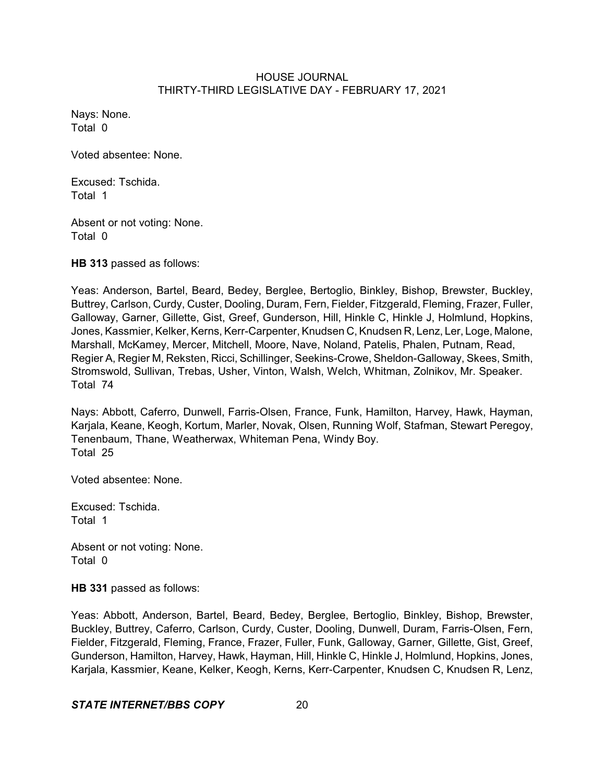Nays: None. Total 0

Voted absentee: None.

Excused: Tschida. Total 1

Absent or not voting: None. Total 0

**HB 313** passed as follows:

Yeas: Anderson, Bartel, Beard, Bedey, Berglee, Bertoglio, Binkley, Bishop, Brewster, Buckley, Buttrey, Carlson, Curdy, Custer, Dooling, Duram, Fern, Fielder, Fitzgerald, Fleming, Frazer, Fuller, Galloway, Garner, Gillette, Gist, Greef, Gunderson, Hill, Hinkle C, Hinkle J, Holmlund, Hopkins, Jones, Kassmier, Kelker, Kerns, Kerr-Carpenter, Knudsen C, Knudsen R, Lenz, Ler, Loge, Malone, Marshall, McKamey, Mercer, Mitchell, Moore, Nave, Noland, Patelis, Phalen, Putnam, Read, Regier A, Regier M, Reksten, Ricci, Schillinger, Seekins-Crowe, Sheldon-Galloway, Skees, Smith, Stromswold, Sullivan, Trebas, Usher, Vinton, Walsh, Welch, Whitman, Zolnikov, Mr. Speaker. Total 74

Nays: Abbott, Caferro, Dunwell, Farris-Olsen, France, Funk, Hamilton, Harvey, Hawk, Hayman, Karjala, Keane, Keogh, Kortum, Marler, Novak, Olsen, Running Wolf, Stafman, Stewart Peregoy, Tenenbaum, Thane, Weatherwax, Whiteman Pena, Windy Boy. Total 25

Voted absentee: None.

Excused: Tschida. Total 1

Absent or not voting: None. Total 0

**HB 331** passed as follows:

Yeas: Abbott, Anderson, Bartel, Beard, Bedey, Berglee, Bertoglio, Binkley, Bishop, Brewster, Buckley, Buttrey, Caferro, Carlson, Curdy, Custer, Dooling, Dunwell, Duram, Farris-Olsen, Fern, Fielder, Fitzgerald, Fleming, France, Frazer, Fuller, Funk, Galloway, Garner, Gillette, Gist, Greef, Gunderson, Hamilton, Harvey, Hawk, Hayman, Hill, Hinkle C, Hinkle J, Holmlund, Hopkins, Jones, Karjala, Kassmier, Keane, Kelker, Keogh, Kerns, Kerr-Carpenter, Knudsen C, Knudsen R, Lenz,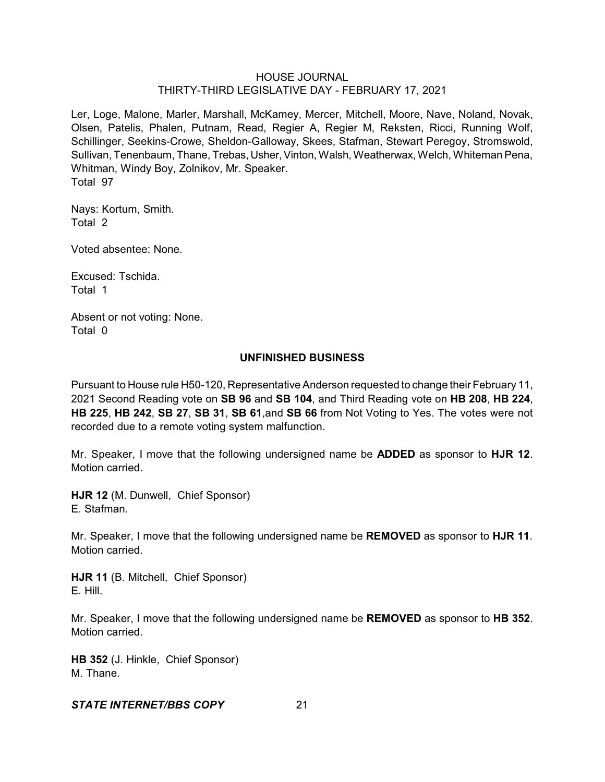Ler, Loge, Malone, Marler, Marshall, McKamey, Mercer, Mitchell, Moore, Nave, Noland, Novak, Olsen, Patelis, Phalen, Putnam, Read, Regier A, Regier M, Reksten, Ricci, Running Wolf, Schillinger, Seekins-Crowe, Sheldon-Galloway, Skees, Stafman, Stewart Peregoy, Stromswold, Sullivan, Tenenbaum, Thane, Trebas, Usher, Vinton, Walsh, Weatherwax, Welch, Whiteman Pena, Whitman, Windy Boy, Zolnikov, Mr. Speaker. Total 97

Nays: Kortum, Smith. Total 2

Voted absentee: None.

Excused: Tschida. Total 1

Absent or not voting: None. Total 0

### **UNFINISHED BUSINESS**

Pursuant to House rule H50-120, Representative Anderson requested to change their February 11, 2021 Second Reading vote on **SB 96** and **SB 104**, and Third Reading vote on **HB 208**, **HB 224**, **HB 225**, **HB 242**, **SB 27**, **SB 31**, **SB 61**,and **SB 66** from Not Voting to Yes. The votes were not recorded due to a remote voting system malfunction.

Mr. Speaker, I move that the following undersigned name be **ADDED** as sponsor to **HJR 12**. Motion carried.

**HJR 12** (M. Dunwell, Chief Sponsor) E. Stafman.

Mr. Speaker, I move that the following undersigned name be **REMOVED** as sponsor to **HJR 11**. Motion carried.

**HJR 11** (B. Mitchell, Chief Sponsor) E. Hill.

Mr. Speaker, I move that the following undersigned name be **REMOVED** as sponsor to **HB 352**. Motion carried.

**HB 352** (J. Hinkle, Chief Sponsor) M. Thane.